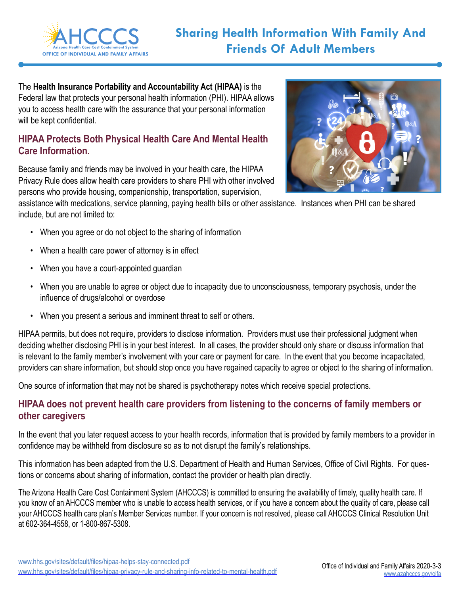

The **Health Insurance Portability and Accountability Act (HIPAA)** is the Federal law that protects your personal health information (PHI). HIPAA allows you to access health care with the assurance that your personal information will be kept confidential.

## **HIPAA Protects Both Physical Health Care And Mental Health Care Information.**

Because family and friends may be involved in your health care, the HIPAA Privacy Rule does allow health care providers to share PHI with other involved persons who provide housing, companionship, transportation, supervision,



assistance with medications, service planning, paying health bills or other assistance. Instances when PHI can be shared include, but are not limited to:

- When you agree or do not object to the sharing of information
- When a health care power of attorney is in effect
- When you have a court-appointed guardian
- When you are unable to agree or object due to incapacity due to unconsciousness, temporary psychosis, under the influence of drugs/alcohol or overdose
- When you present a serious and imminent threat to self or others.

HIPAA permits, but does not require, providers to disclose information. Providers must use their professional judgment when deciding whether disclosing PHI is in your best interest. In all cases, the provider should only share or discuss information that is relevant to the family member's involvement with your care or payment for care. In the event that you become incapacitated, providers can share information, but should stop once you have regained capacity to agree or object to the sharing of information.

One source of information that may not be shared is psychotherapy notes which receive special protections.

## **HIPAA does not prevent health care providers from listening to the concerns of family members or other caregivers**

In the event that you later request access to your health records, information that is provided by family members to a provider in confidence may be withheld from disclosure so as to not disrupt the family's relationships.

This information has been adapted from the U.S. Department of Health and Human Services, Office of Civil Rights. For questions or concerns about sharing of information, contact the provider or health plan directly.

The Arizona Health Care Cost Containment System (AHCCCS) is committed to ensuring the availability of timely, quality health care. If you know of an AHCCCS member who is unable to access health services, or if you have a concern about the quality of care, please call your AHCCCS health care plan's Member Services number. If your concern is not resolved, please call AHCCCS Clinical Resolution Unit at 602-364-4558, or 1-800-867-5308.